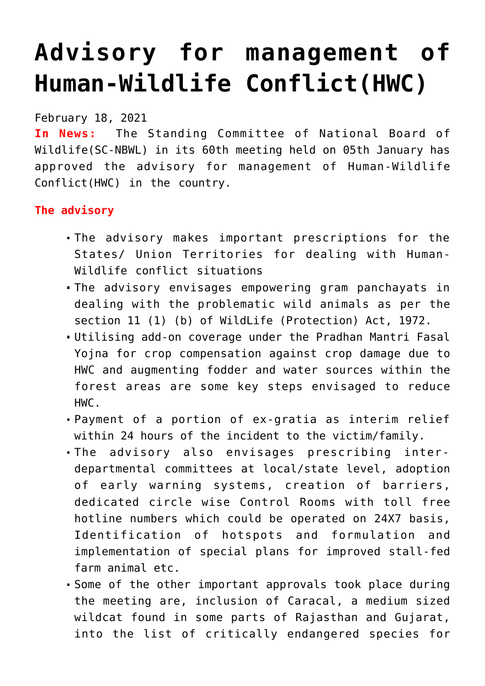## **[Advisory for management of](https://journalsofindia.com/advisory-for-management-of-human-wildlife-conflicthwc/) [Human-Wildlife Conflict\(HWC\)](https://journalsofindia.com/advisory-for-management-of-human-wildlife-conflicthwc/)**

February 18, 2021

**In News:** The Standing Committee of National Board of Wildlife(SC-NBWL) in its 60th meeting held on 05th January has approved the advisory for management of Human-Wildlife Conflict(HWC) in the country.

## **The advisory**

- The advisory makes important prescriptions for the States/ Union Territories for dealing with Human-Wildlife conflict situations
- The advisory envisages empowering gram panchayats in dealing with the problematic wild animals as per the section 11 (1) (b) of WildLife (Protection) Act, 1972.
- Utilising add-on coverage under the Pradhan Mantri Fasal Yojna for crop compensation against crop damage due to HWC and augmenting fodder and water sources within the forest areas are some key steps envisaged to reduce HWC.
- Payment of a portion of ex-gratia as interim relief within 24 hours of the incident to the victim/family.
- The advisory also envisages prescribing interdepartmental committees at local/state level, adoption of early warning systems, creation of barriers, dedicated circle wise Control Rooms with toll free hotline numbers which could be operated on 24X7 basis, Identification of hotspots and formulation and implementation of special plans for improved stall-fed farm animal etc.
- Some of the other important approvals took place during the meeting are, inclusion of Caracal, a medium sized wildcat found in some parts of Rajasthan and Gujarat, into the list of critically endangered species for